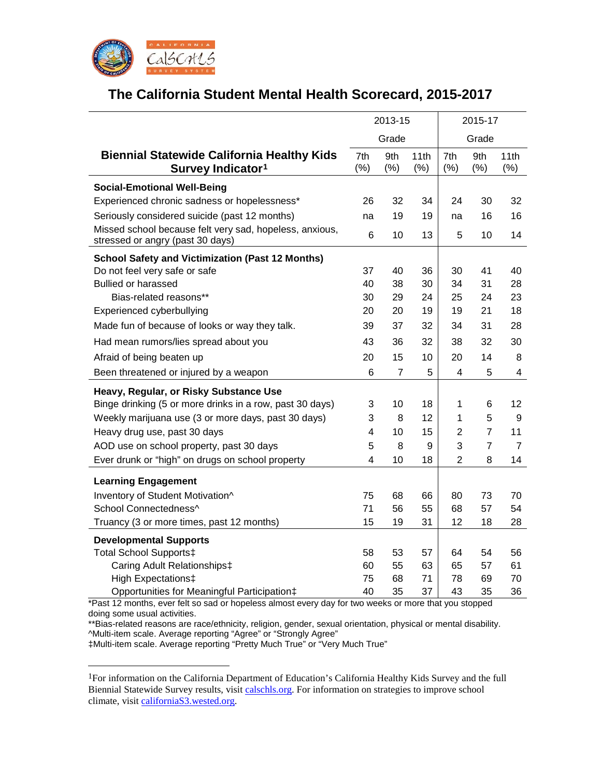

# **The California Student Mental Health Scorecard, 2015-2017**

|                                                                                             | 2013-15         |                |              | 2015-17        |                |                |  |
|---------------------------------------------------------------------------------------------|-----------------|----------------|--------------|----------------|----------------|----------------|--|
|                                                                                             |                 | Grade          |              | Grade          |                |                |  |
| <b>Biennial Statewide California Healthy Kids</b><br>Survey Indicator <sup>1</sup>          | 7th<br>$(\% )$  | 9th<br>(%)     | 11th<br>(% ) | 7th<br>(% )    | 9th<br>(%)     | 11th<br>(% )   |  |
| <b>Social-Emotional Well-Being</b>                                                          |                 |                |              |                |                |                |  |
| Experienced chronic sadness or hopelessness*                                                | 26              | 32             | 34           | 24             | 30             | 32             |  |
| Seriously considered suicide (past 12 months)                                               | na              | 19             | 19           | na             | 16             | 16             |  |
| Missed school because felt very sad, hopeless, anxious,<br>stressed or angry (past 30 days) | 6               | 10             | 13           | 5              | 10             | 14             |  |
| <b>School Safety and Victimization (Past 12 Months)</b>                                     |                 |                |              |                |                |                |  |
| Do not feel very safe or safe                                                               | 37              | 40             | 36           | 30             | 41             | 40             |  |
| <b>Bullied or harassed</b>                                                                  | 40              | 38             | 30           | 34             | 31             | 28             |  |
| Bias-related reasons**                                                                      | 30              | 29             | 24           | 25             | 24             | 23             |  |
| Experienced cyberbullying                                                                   | 20              | 20             | 19           | 19             | 21             | 18             |  |
| Made fun of because of looks or way they talk.                                              | 39              | 37             | 32           | 34             | 31             | 28             |  |
| Had mean rumors/lies spread about you                                                       | 43              | 36             | 32           | 38             | 32             | 30             |  |
| Afraid of being beaten up                                                                   | 20              | 15             | 10           | 20             | 14             | 8              |  |
| Been threatened or injured by a weapon                                                      | $6\phantom{1}6$ | $\overline{7}$ | 5            | 4              | 5              | 4              |  |
| Heavy, Regular, or Risky Substance Use                                                      |                 |                |              |                |                |                |  |
| Binge drinking (5 or more drinks in a row, past 30 days)                                    | 3               | 10             | 18           | 1              | 6              | 12             |  |
| Weekly marijuana use (3 or more days, past 30 days)                                         | 3               | 8              | 12           | 1              | 5              | 9              |  |
| Heavy drug use, past 30 days                                                                | 4               | 10             | 15           | $\overline{2}$ | $\overline{7}$ | 11             |  |
| AOD use on school property, past 30 days                                                    | 5               | 8              | 9            | 3              | $\overline{7}$ | $\overline{7}$ |  |
| Ever drunk or "high" on drugs on school property                                            | 4               | 10             | 18           | $\overline{2}$ | 8              | 14             |  |
| <b>Learning Engagement</b>                                                                  |                 |                |              |                |                |                |  |
| Inventory of Student Motivation^                                                            | 75              | 68             | 66           | 80             | 73             | 70             |  |
| School Connectedness^                                                                       | 71              | 56             | 55           | 68             | 57             | 54             |  |
| Truancy (3 or more times, past 12 months)                                                   | 15              | 19             | 31           | 12             | 18             | 28             |  |
| <b>Developmental Supports</b>                                                               |                 |                |              |                |                |                |  |
| <b>Total School Supports‡</b>                                                               | 58              | 53             | 57           | 64             | 54             | 56             |  |
| Caring Adult Relationships‡                                                                 | 60              | 55             | 63           | 65             | 57             | 61             |  |
| High Expectations‡                                                                          | 75              | 68             | 71           | 78             | 69             | 70             |  |
| Opportunities for Meaningful Participation‡                                                 | 40              | 35             | 37           | 43             | 35             | 36             |  |

\*Past 12 months, ever felt so sad or hopeless almost every day for two weeks or more that you stopped doing some usual activities.

\*\*Bias-related reasons are race/ethnicity, religion, gender, sexual orientation, physical or mental disability. ^Multi-item scale. Average reporting "Agree" or "Strongly Agree"

‡Multi-item scale. Average reporting "Pretty Much True" or "Very Much True"

<span id="page-0-0"></span> <sup>1</sup>For information on the California Department of Education's California Healthy Kids Survey and the full Biennial Statewide Survey results, visit [calschls.org.](https://calschls.org/) For information on strategies to improve school climate, visit [californiaS3.wested.org.](http://californias3.wested.org/)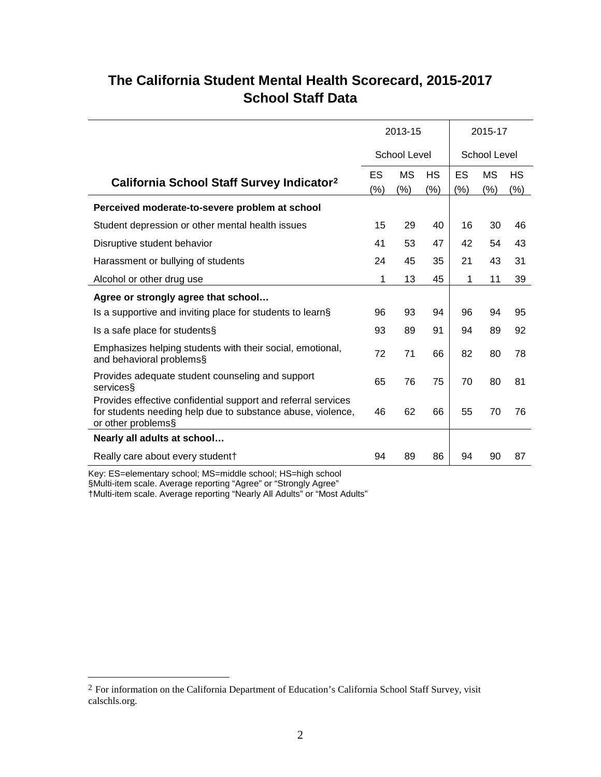## **The California Student Mental Health Scorecard, 2015-2017 School Staff Data**

|                                                                                                                                                    | 2013-15   |              |           | 2015-17      |           |     |  |
|----------------------------------------------------------------------------------------------------------------------------------------------------|-----------|--------------|-----------|--------------|-----------|-----|--|
|                                                                                                                                                    |           | School Level |           | School Level |           |     |  |
| California School Staff Survey Indicator <sup>2</sup>                                                                                              | <b>ES</b> | <b>MS</b>    | <b>HS</b> | ES           | <b>MS</b> | НS  |  |
|                                                                                                                                                    | $(\%)$    | (%)          | (%)       | (%)          | (% )      | (%) |  |
| Perceived moderate-to-severe problem at school                                                                                                     |           |              |           |              |           |     |  |
| Student depression or other mental health issues                                                                                                   | 15        | 29           | 40        | 16           | 30        | 46  |  |
| Disruptive student behavior                                                                                                                        | 41        | 53           | 47        | 42           | 54        | 43  |  |
| Harassment or bullying of students                                                                                                                 | 24        | 45           | 35        | 21           | 43        | 31  |  |
| Alcohol or other drug use                                                                                                                          | 1         | 13           | 45        | 1            | 11        | 39  |  |
| Agree or strongly agree that school                                                                                                                |           |              |           |              |           |     |  |
| Is a supportive and inviting place for students to learn§                                                                                          | 96        | 93           | 94        | 96           | 94        | 95  |  |
| Is a safe place for students§                                                                                                                      | 93        | 89           | 91        | 94           | 89        | 92  |  |
| Emphasizes helping students with their social, emotional,<br>and behavioral problems§                                                              | 72        | 71           | 66        | 82           | 80        | 78  |  |
| Provides adequate student counseling and support<br>services                                                                                       | 65        | 76           | 75        | 70           | 80        | 81  |  |
| Provides effective confidential support and referral services<br>for students needing help due to substance abuse, violence,<br>or other problems§ | 46        | 62           | 66        | 55           | 70        | 76  |  |
| Nearly all adults at school                                                                                                                        |           |              |           |              |           |     |  |
| Really care about every student†                                                                                                                   | 94        | 89           | 86        | 94           | 90        | 87  |  |

Key: ES=elementary school; MS=middle school; HS=high school

§Multi-item scale. Average reporting "Agree" or "Strongly Agree"

†Multi-item scale. Average reporting "Nearly All Adults" or "Most Adults"

<span id="page-1-0"></span> <sup>2</sup> For information on the California Department of Education's California School Staff Survey, visit calschls.org.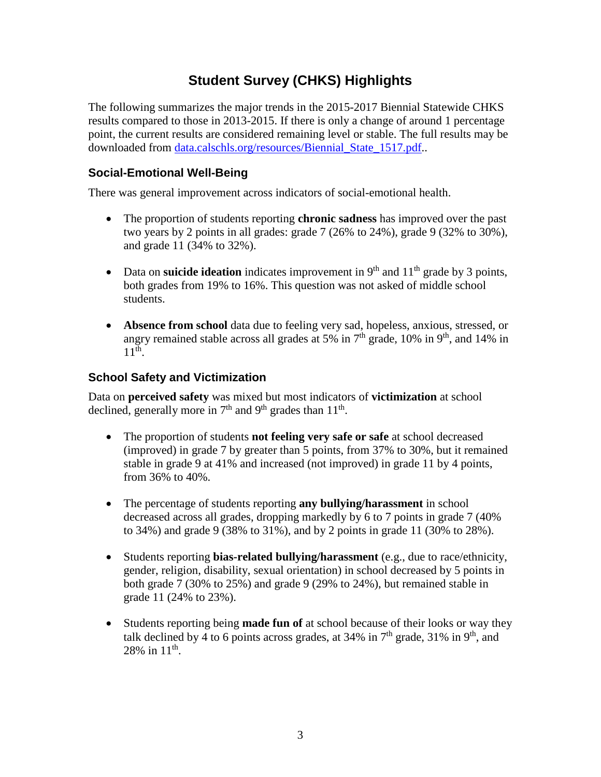## **Student Survey (CHKS) Highlights**

The following summarizes the major trends in the 2015-2017 Biennial Statewide CHKS results compared to those in 2013-2015. If there is only a change of around 1 percentage point, the current results are considered remaining level or stable. The full results may be downloaded from [data.calschls.org/resources/Biennial\\_State\\_1517.pdf.](https://data.calschls.org/resources/Biennial_State_1517.pdf).

#### **Social-Emotional Well-Being**

There was general improvement across indicators of social-emotional health.

- The proportion of students reporting **chronic sadness** has improved over the past two years by 2 points in all grades: grade  $7(26\%$  to  $24\%)$ , grade  $9(32\%$  to  $30\%)$ , and grade 11 (34% to 32%).
- Data on **suicide ideation** indicates improvement in 9<sup>th</sup> and 11<sup>th</sup> grade by 3 points, both grades from 19% to 16%. This question was not asked of middle school students.
- **Absence from school** data due to feeling very sad, hopeless, anxious, stressed, or angry remained stable across all grades at 5% in  $7<sup>th</sup>$  grade, 10% in 9<sup>th</sup>, and 14% in 11th.

### **School Safety and Victimization**

Data on **perceived safety** was mixed but most indicators of **victimization** at school declined, generally more in  $7<sup>th</sup>$  and  $9<sup>th</sup>$  grades than  $11<sup>th</sup>$ .

- The proportion of students **not feeling very safe or safe** at school decreased (improved) in grade 7 by greater than 5 points, from 37% to 30%, but it remained stable in grade 9 at 41% and increased (not improved) in grade 11 by 4 points, from 36% to 40%.
- The percentage of students reporting **any bullying/harassment** in school decreased across all grades, dropping markedly by 6 to 7 points in grade 7 (40% to 34%) and grade 9 (38% to 31%), and by 2 points in grade 11 (30% to 28%).
- Students reporting **bias-related bullying/harassment** (e.g., due to race/ethnicity, gender, religion, disability, sexual orientation) in school decreased by 5 points in both grade 7 (30% to 25%) and grade 9 (29% to 24%), but remained stable in grade 11 (24% to 23%).
- Students reporting being **made fun of** at school because of their looks or way they talk declined by 4 to 6 points across grades, at  $34\%$  in  $7<sup>th</sup>$  grade,  $31\%$  in  $9<sup>th</sup>$ , and 28% in  $11^{th}$ .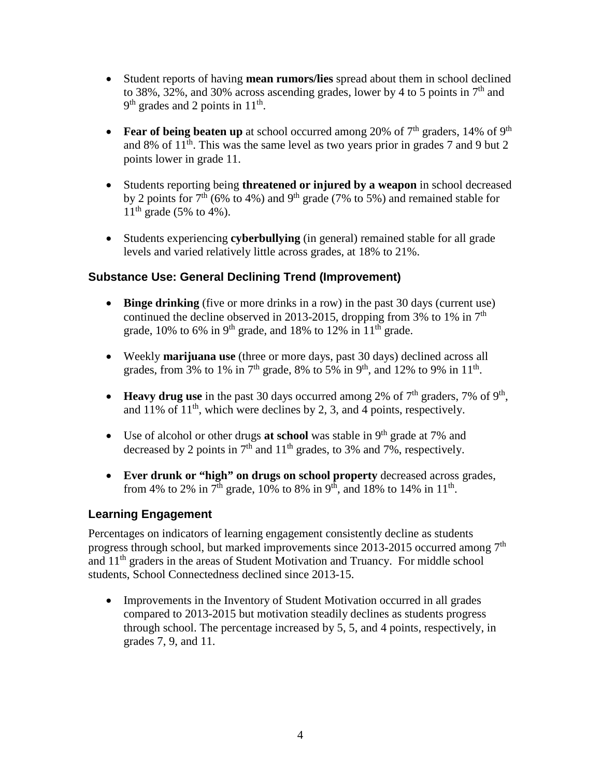- Student reports of having **mean rumors/lies** spread about them in school declined to 38%, 32%, and 30% across ascending grades, lower by 4 to 5 points in  $7<sup>th</sup>$  and  $9<sup>th</sup>$  grades and 2 points in 11<sup>th</sup>.
- **Fear of being beaten up** at school occurred among 20% of  $7<sup>th</sup>$  graders, 14% of 9<sup>th</sup> and 8% of  $11<sup>th</sup>$ . This was the same level as two years prior in grades 7 and 9 but 2 points lower in grade 11.
- Students reporting being **threatened or injured by a weapon** in school decreased by 2 points for  $7<sup>th</sup>$  (6% to 4%) and 9<sup>th</sup> grade (7% to 5%) and remained stable for  $11^{th}$  grade (5% to 4%).
- Students experiencing **cyberbullying** (in general) remained stable for all grade levels and varied relatively little across grades, at 18% to 21%.

#### **Substance Use: General Declining Trend (Improvement)**

- **Binge drinking** (five or more drinks in a row) in the past 30 days (current use) continued the decline observed in 2013-2015, dropping from 3% to 1% in  $7<sup>th</sup>$ grade, 10% to 6% in 9<sup>th</sup> grade, and 18% to 12% in  $11<sup>th</sup>$  grade.
- Weekly **marijuana use** (three or more days, past 30 days) declined across all grades, from 3% to 1% in 7<sup>th</sup> grade, 8% to 5% in 9<sup>th</sup>, and 12% to 9% in 11<sup>th</sup>.
- **Heavy drug use** in the past 30 days occurred among 2% of  $7<sup>th</sup>$  graders, 7% of 9<sup>th</sup>, and 11% of  $11<sup>th</sup>$ , which were declines by 2, 3, and 4 points, respectively.
- Use of alcohol or other drugs **at school** was stable in 9<sup>th</sup> grade at 7% and decreased by 2 points in  $7<sup>th</sup>$  and  $11<sup>th</sup>$  grades, to 3% and 7%, respectively.
- **Ever drunk or "high" on drugs on school property** decreased across grades, from 4% to 2% in 7<sup>th</sup> grade, 10% to 8% in 9<sup>th</sup>, and 18% to 14% in 11<sup>th</sup>.

### **Learning Engagement**

Percentages on indicators of learning engagement consistently decline as students progress through school, but marked improvements since 2013-2015 occurred among 7<sup>th</sup> and 11th graders in the areas of Student Motivation and Truancy. For middle school students, School Connectedness declined since 2013-15.

• Improvements in the Inventory of Student Motivation occurred in all grades compared to 2013-2015 but motivation steadily declines as students progress through school. The percentage increased by 5, 5, and 4 points, respectively, in grades 7, 9, and 11.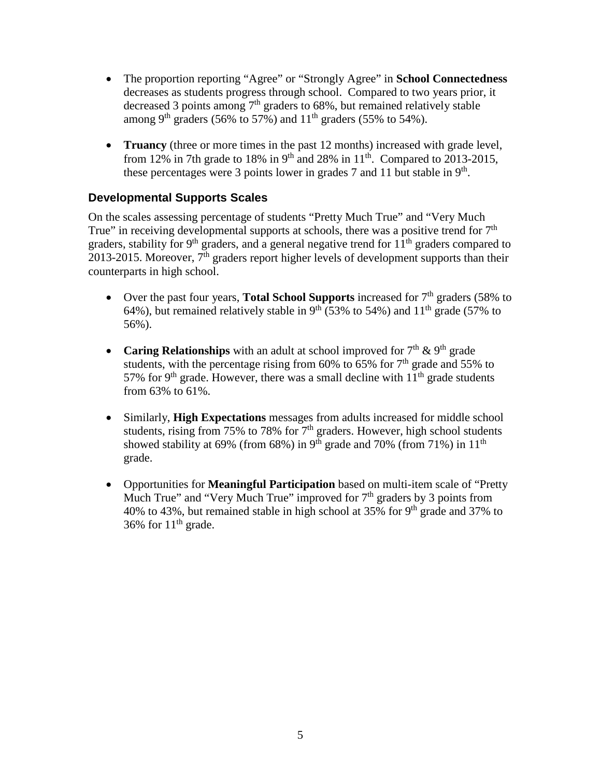- The proportion reporting "Agree" or "Strongly Agree" in **School Connectedness** decreases as students progress through school. Compared to two years prior, it decreased 3 points among  $7<sup>th</sup>$  graders to 68%, but remained relatively stable among 9<sup>th</sup> graders (56% to 57%) and  $11<sup>th</sup>$  graders (55% to 54%).
- **Truancy** (three or more times in the past 12 months) increased with grade level, from 12% in 7th grade to 18% in 9<sup>th</sup> and 28% in 11<sup>th</sup>. Compared to 2013-2015, these percentages were 3 points lower in grades 7 and 11 but stable in  $9<sup>th</sup>$ .

#### **Developmental Supports Scales**

On the scales assessing percentage of students "Pretty Much True" and "Very Much True" in receiving developmental supports at schools, there was a positive trend for  $7<sup>th</sup>$ graders, stability for 9<sup>th</sup> graders, and a general negative trend for  $11<sup>th</sup>$  graders compared to 2013-2015. Moreover,  $7<sup>th</sup>$  graders report higher levels of development supports than their counterparts in high school.

- Over the past four years, **Total School Supports** increased for 7<sup>th</sup> graders (58% to 64%), but remained relatively stable in  $9<sup>th</sup>$  (53% to 54%) and 11<sup>th</sup> grade (57% to 56%).
- **Caring Relationships** with an adult at school improved for  $7<sup>th</sup>$  &  $9<sup>th</sup>$  grade students, with the percentage rising from 60% to 65% for  $7<sup>th</sup>$  grade and 55% to 57% for 9<sup>th</sup> grade. However, there was a small decline with  $11<sup>th</sup>$  grade students from 63% to 61%.
- Similarly, **High Expectations** messages from adults increased for middle school students, rising from 75% to 78% for  $7<sup>th</sup>$  graders. However, high school students showed stability at 69% (from 68%) in 9<sup>th</sup> grade and 70% (from 71%) in 11<sup>th</sup> grade.
- Opportunities for **Meaningful Participation** based on multi-item scale of "Pretty Much True" and "Very Much True" improved for  $7<sup>th</sup>$  graders by 3 points from 40% to 43%, but remained stable in high school at 35% for 9<sup>th</sup> grade and 37% to 36% for  $11<sup>th</sup>$  grade.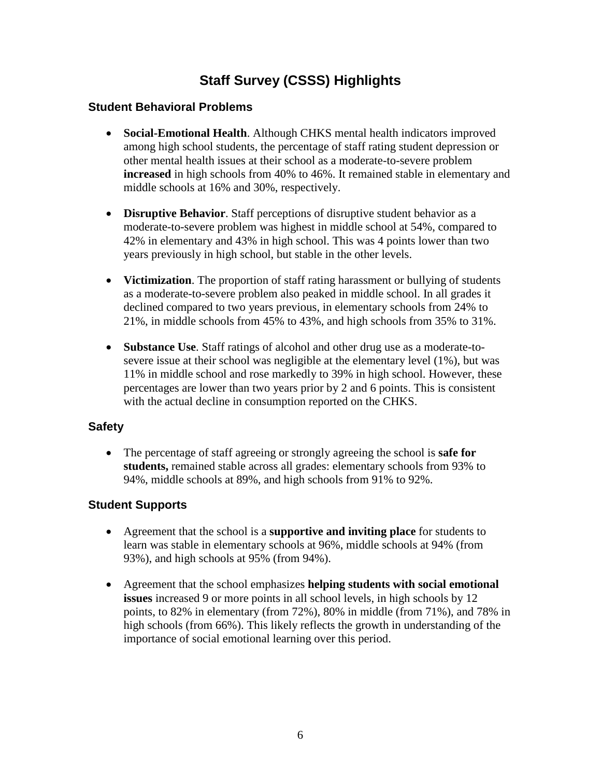## **Staff Survey (CSSS) Highlights**

#### **Student Behavioral Problems**

- **Social-Emotional Health**. Although CHKS mental health indicators improved among high school students, the percentage of staff rating student depression or other mental health issues at their school as a moderate-to-severe problem **increased** in high schools from 40% to 46%. It remained stable in elementary and middle schools at 16% and 30%, respectively.
- **Disruptive Behavior**. Staff perceptions of disruptive student behavior as a moderate-to-severe problem was highest in middle school at 54%, compared to 42% in elementary and 43% in high school. This was 4 points lower than two years previously in high school, but stable in the other levels.
- **Victimization**. The proportion of staff rating harassment or bullying of students as a moderate-to-severe problem also peaked in middle school. In all grades it declined compared to two years previous, in elementary schools from 24% to 21%, in middle schools from 45% to 43%, and high schools from 35% to 31%.
- **Substance Use**. Staff ratings of alcohol and other drug use as a moderate-tosevere issue at their school was negligible at the elementary level (1%), but was 11% in middle school and rose markedly to 39% in high school. However, these percentages are lower than two years prior by 2 and 6 points. This is consistent with the actual decline in consumption reported on the CHKS.

#### **Safety**

• The percentage of staff agreeing or strongly agreeing the school is **safe for students,** remained stable across all grades: elementary schools from 93% to 94%, middle schools at 89%, and high schools from 91% to 92%.

### **Student Supports**

- Agreement that the school is a **supportive and inviting place** for students to learn was stable in elementary schools at 96%, middle schools at 94% (from 93%), and high schools at 95% (from 94%).
- Agreement that the school emphasizes **helping students with social emotional issues** increased 9 or more points in all school levels, in high schools by 12 points, to 82% in elementary (from 72%), 80% in middle (from 71%), and 78% in high schools (from 66%). This likely reflects the growth in understanding of the importance of social emotional learning over this period.